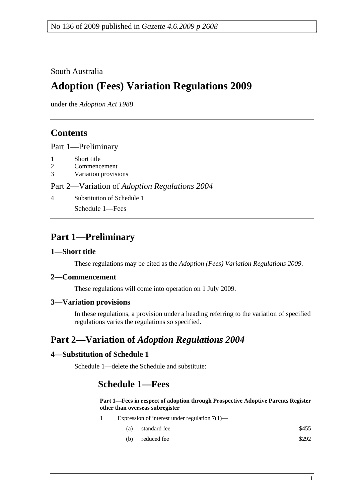### South Australia

# **Adoption (Fees) Variation Regulations 2009**

under the *Adoption Act 1988*

### **Contents**

Part 1—Preliminary

- 1 Short title
- 2 Commencement
- 3 Variation provisions

#### Part 2—Variation of *Adoption Regulations 2004*

4 Substitution of Schedule 1

Schedule 1—Fees

### **Part 1—Preliminary**

#### **1—Short title**

These regulations may be cited as the *Adoption (Fees) Variation Regulations 2009*.

#### **2—Commencement**

These regulations will come into operation on 1 July 2009.

#### **3—Variation provisions**

In these regulations, a provision under a heading referring to the variation of specified regulations varies the regulations so specified.

## **Part 2—Variation of** *Adoption Regulations 2004*

#### **4—Substitution of Schedule 1**

Schedule 1—delete the Schedule and substitute:

### **Schedule 1—Fees**

**Part 1—Fees in respect of adoption through Prospective Adoptive Parents Register other than overseas subregister**

- 1 Expression of interest under regulation 7(1)—
	- (a) standard fee \$455
	- (b) reduced fee  $$292$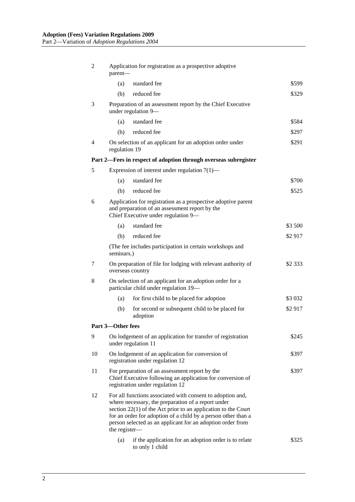| 2                                                               | Application for registration as a prospective adoptive<br>parent-                                                                                                                                                                                                                                                                   |                                                                                    |           |  |  |
|-----------------------------------------------------------------|-------------------------------------------------------------------------------------------------------------------------------------------------------------------------------------------------------------------------------------------------------------------------------------------------------------------------------------|------------------------------------------------------------------------------------|-----------|--|--|
|                                                                 | (a)                                                                                                                                                                                                                                                                                                                                 | standard fee                                                                       | \$599     |  |  |
|                                                                 | (b)                                                                                                                                                                                                                                                                                                                                 | reduced fee                                                                        | \$329     |  |  |
| 3                                                               |                                                                                                                                                                                                                                                                                                                                     | Preparation of an assessment report by the Chief Executive<br>under regulation 9-  |           |  |  |
|                                                                 | (a)                                                                                                                                                                                                                                                                                                                                 | standard fee                                                                       | \$584     |  |  |
|                                                                 | (b)                                                                                                                                                                                                                                                                                                                                 | reduced fee                                                                        | \$297     |  |  |
| 4                                                               | regulation 19                                                                                                                                                                                                                                                                                                                       | On selection of an applicant for an adoption order under                           | \$291     |  |  |
| Part 2—Fees in respect of adoption through overseas subregister |                                                                                                                                                                                                                                                                                                                                     |                                                                                    |           |  |  |
| 5                                                               |                                                                                                                                                                                                                                                                                                                                     | Expression of interest under regulation $7(1)$ —                                   |           |  |  |
|                                                                 | (a)                                                                                                                                                                                                                                                                                                                                 | standard fee                                                                       | \$700     |  |  |
|                                                                 | (b)                                                                                                                                                                                                                                                                                                                                 | reduced fee                                                                        | \$525     |  |  |
| 6                                                               | Application for registration as a prospective adoptive parent<br>and preparation of an assessment report by the<br>Chief Executive under regulation 9-                                                                                                                                                                              |                                                                                    |           |  |  |
|                                                                 | (a)                                                                                                                                                                                                                                                                                                                                 | standard fee                                                                       | \$3 500   |  |  |
|                                                                 | (b)                                                                                                                                                                                                                                                                                                                                 | reduced fee                                                                        | \$2917    |  |  |
|                                                                 | (The fee includes participation in certain workshops and<br>seminars.)                                                                                                                                                                                                                                                              |                                                                                    |           |  |  |
| 7                                                               | On preparation of file for lodging with relevant authority of<br>overseas country                                                                                                                                                                                                                                                   |                                                                                    | \$2 3 3 3 |  |  |
| 8                                                               | On selection of an applicant for an adoption order for a<br>particular child under regulation 19-                                                                                                                                                                                                                                   |                                                                                    |           |  |  |
|                                                                 | (a)                                                                                                                                                                                                                                                                                                                                 | for first child to be placed for adoption                                          | \$3 0 32  |  |  |
|                                                                 | (b)                                                                                                                                                                                                                                                                                                                                 | for second or subsequent child to be placed for<br>adoption                        | \$2917    |  |  |
| Part 3-Other fees                                               |                                                                                                                                                                                                                                                                                                                                     |                                                                                    |           |  |  |
| 9                                                               |                                                                                                                                                                                                                                                                                                                                     | On lodgement of an application for transfer of registration<br>under regulation 11 | \$245     |  |  |
| 10                                                              | On lodgement of an application for conversion of<br>\$397<br>registration under regulation 12                                                                                                                                                                                                                                       |                                                                                    |           |  |  |
| 11                                                              | For preparation of an assessment report by the<br>\$397<br>Chief Executive following an application for conversion of<br>registration under regulation 12                                                                                                                                                                           |                                                                                    |           |  |  |
| 12                                                              | For all functions associated with consent to adoption and,<br>where necessary, the preparation of a report under<br>section $22(1)$ of the Act prior to an application to the Court<br>for an order for adoption of a child by a person other than a<br>person selected as an applicant for an adoption order from<br>the register- |                                                                                    |           |  |  |
|                                                                 | (a)                                                                                                                                                                                                                                                                                                                                 | if the application for an adoption order is to relate<br>to only 1 child           | \$325     |  |  |